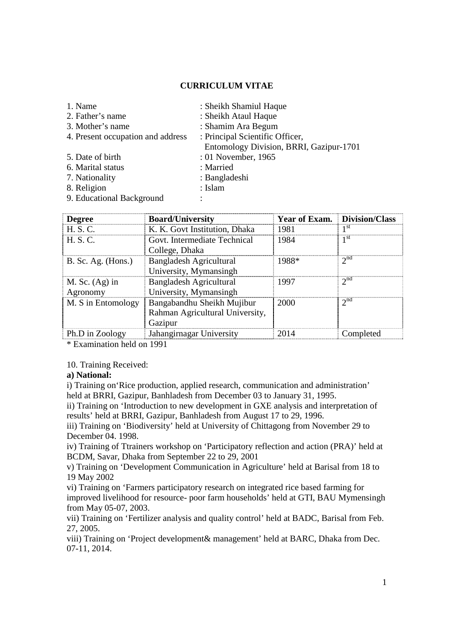## **CURRICULUM VITAE**

| 1. Name                           | : Sheikh Shamiul Haque                  |  |  |
|-----------------------------------|-----------------------------------------|--|--|
| 2. Father's name                  | : Sheikh Ataul Haque                    |  |  |
| 3. Mother's name                  | : Shamim Ara Begum                      |  |  |
| 4. Present occupation and address | : Principal Scientific Officer,         |  |  |
|                                   | Entomology Division, BRRI, Gazipur-1701 |  |  |
| 5. Date of birth                  | : 01 November, 1965                     |  |  |
| 6. Marital status                 | : Married                               |  |  |
| 7. Nationality                    | : Bangladeshi                           |  |  |
| 8. Religion                       | : Islam                                 |  |  |
| 9. Educational Background         |                                         |  |  |
|                                   |                                         |  |  |

| <b>Degree</b>        | <b>Board/University</b>         | <b>Year of Exam.</b> Division/Class |                 |
|----------------------|---------------------------------|-------------------------------------|-----------------|
| H. S. C.             | K. K. Govt Institution, Dhaka   | 1981                                | 1 <sup>st</sup> |
| H. S. C.             | Govt. Intermediate Technical    | 1984                                | 1 St            |
|                      | College, Dhaka                  |                                     |                 |
| $B.$ Sc. Ag. (Hons.) | <b>Bangladesh Agricultural</b>  | 1988*                               | 2 <sup>na</sup> |
|                      | University, Mymansingh          |                                     |                 |
| M. Sc. $(Ag)$ in     | <b>Bangladesh Agricultural</b>  | 1997                                | $2^{nq}$        |
| Agronomy             | University, Mymansingh          |                                     |                 |
| M. S in Entomology   | Bangabandhu Sheikh Mujibur      | 2000                                | $2^{nc}$        |
|                      | Rahman Agricultural University, |                                     |                 |
|                      | Gazipur                         |                                     |                 |
| Ph.D in Zoology      | Jahangirnagar University        | 2014                                | Completed       |

\* Examination held on 1991

10. Training Received:

## **a) National:**

i) Training on'Rice production, applied research, communication and administration' held at BRRI, Gazipur, Banhladesh from December 03 to January 31, 1995.

ii) Training on 'Introduction to new development in GXE analysis and interpretation of results' held at BRRI, Gazipur, Banhladesh from August 17 to 29, 1996.

iii) Training on 'Biodiversity' held at University of Chittagong from November 29 to December 04. 1998.

iv) Training of Ttrainers workshop on 'Participatory reflection and action (PRA)' held at BCDM, Savar, Dhaka from September 22 to 29, 2001

v) Training on 'Development Communication in Agriculture' held at Barisal from 18 to 19 May 2002

vi) Training on 'Farmers participatory research on integrated rice based farming for improved livelihood for resource- poor farm households' held at GTI, BAU Mymensingh from May 05-07, 2003.

vii) Training on 'Fertilizer analysis and quality control' held at BADC, Barisal from Feb. 27, 2005.

viii) Training on 'Project development& management' held at BARC, Dhaka from Dec. 07-11, 2014.